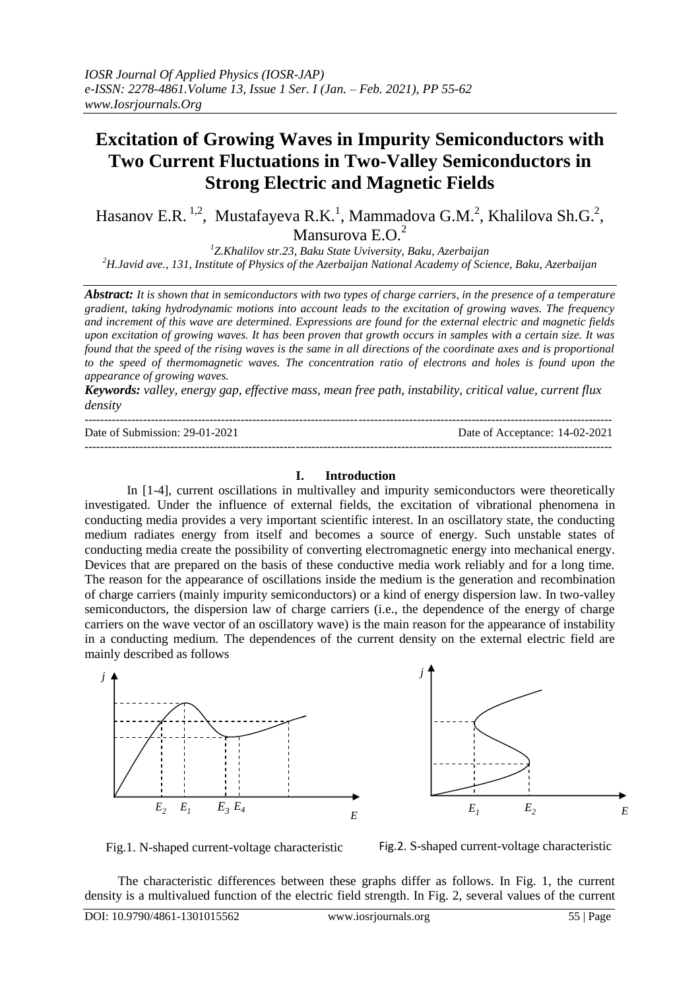# **Excitation of Growing Waves in Impurity Semiconductors with Two Current Fluctuations in Two-Valley Semiconductors in Strong Electric and Magnetic Fields**

Hasanov E.R.  $^{1,2}$ , Mustafayeva R.K.<sup>1</sup>, Mammadova G.M.<sup>2</sup>, Khalilova Sh.G.<sup>2</sup>, Mansurova E.O.<sup>2</sup>

*1 Z.Khalilov str.23, Baku State Uviversity, Baku, Azerbaijan <sup>2</sup>H.Javid ave., 131, Institute of Physics of the Azerbaijan National Academy of Science, Baku, Azerbaijan*

*Abstract: It is shown that in semiconductors with two types of charge carriers, in the presence of a temperature gradient, taking hydrodynamic motions into account leads to the excitation of growing waves. The frequency and increment of this wave are determined. Expressions are found for the external electric and magnetic fields upon excitation of growing waves. It has been proven that growth occurs in samples with a certain size. It was found that the speed of the rising waves is the same in all directions of the coordinate axes and is proportional to the speed of thermomagnetic waves. The concentration ratio of electrons and holes is found upon the appearance of growing waves.*

*Keywords: valley, energy gap, effective mass, mean free path, instability, critical value, current flux density*

| Date of Submission: 29-01-2021 | Date of Acceptance: 14-02-2021 |
|--------------------------------|--------------------------------|
|                                |                                |

## **I. Introduction**

In [1-4], current oscillations in multivalley and impurity semiconductors were theoretically investigated. Under the influence of external fields, the excitation of vibrational phenomena in conducting media provides a very important scientific interest. In an oscillatory state, the conducting medium radiates energy from itself and becomes a source of energy. Such unstable states of conducting media create the possibility of converting electromagnetic energy into mechanical energy. Devices that are prepared on the basis of these conductive media work reliably and for a long time. The reason for the appearance of oscillations inside the medium is the generation and recombination of charge carriers (mainly impurity semiconductors) or a kind of energy dispersion law. In two-valley semiconductors, the dispersion law of charge carriers (i.e., the dependence of the energy of charge carriers on the wave vector of an oscillatory wave) is the main reason for the appearance of instability in a conducting medium. The dependences of the current density on the external electric field are mainly described as follows





Fig.1. N-shaped current-voltage characteristic Fig.2. S-shaped current-voltage characteristic

The characteristic differences between these graphs differ as follows. In Fig. 1, the current density is a multivalued function of the electric field strength. In Fig. 2, several values of the current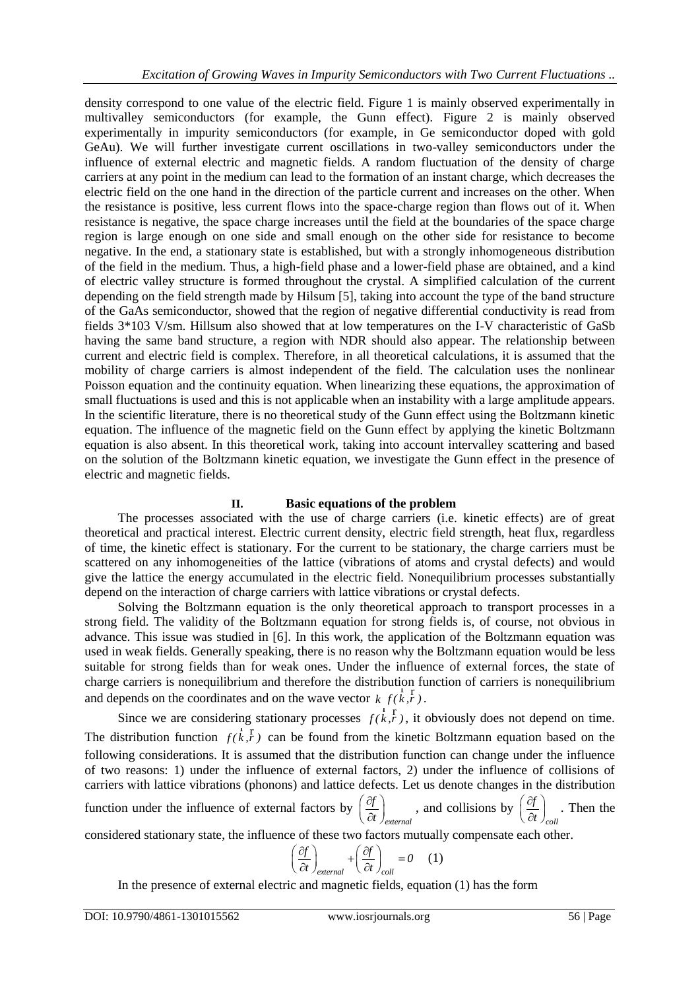density correspond to one value of the electric field. Figure 1 is mainly observed experimentally in multivalley semiconductors (for example, the Gunn effect). Figure 2 is mainly observed experimentally in impurity semiconductors (for example, in Ge semiconductor doped with gold GeAu). We will further investigate current oscillations in two-valley semiconductors under the influence of external electric and magnetic fields. A random fluctuation of the density of charge carriers at any point in the medium can lead to the formation of an instant charge, which decreases the electric field on the one hand in the direction of the particle current and increases on the other. When the resistance is positive, less current flows into the space-charge region than flows out of it. When resistance is negative, the space charge increases until the field at the boundaries of the space charge region is large enough on one side and small enough on the other side for resistance to become negative. In the end, a stationary state is established, but with a strongly inhomogeneous distribution of the field in the medium. Thus, a high-field phase and a lower-field phase are obtained, and a kind of electric valley structure is formed throughout the crystal. A simplified calculation of the current depending on the field strength made by Hilsum [5], taking into account the type of the band structure of the GaAs semiconductor, showed that the region of negative differential conductivity is read from fields 3\*103 V/sm. Hillsum also showed that at low temperatures on the I-V characteristic of GaSb having the same band structure, a region with NDR should also appear. The relationship between current and electric field is complex. Therefore, in all theoretical calculations, it is assumed that the mobility of charge carriers is almost independent of the field. The calculation uses the nonlinear Poisson equation and the continuity equation. When linearizing these equations, the approximation of small fluctuations is used and this is not applicable when an instability with a large amplitude appears. In the scientific literature, there is no theoretical study of the Gunn effect using the Boltzmann kinetic equation. The influence of the magnetic field on the Gunn effect by applying the kinetic Boltzmann equation is also absent. In this theoretical work, taking into account intervalley scattering and based on the solution of the Boltzmann kinetic equation, we investigate the Gunn effect in the presence of electric and magnetic fields.

## **II. Basic equations of the problem**

The processes associated with the use of charge carriers (i.e. kinetic effects) are of great theoretical and practical interest. Electric current density, electric field strength, heat flux, regardless of time, the kinetic effect is stationary. For the current to be stationary, the charge carriers must be scattered on any inhomogeneities of the lattice (vibrations of atoms and crystal defects) and would give the lattice the energy accumulated in the electric field. Nonequilibrium processes substantially depend on the interaction of charge carriers with lattice vibrations or crystal defects.

Solving the Boltzmann equation is the only theoretical approach to transport processes in a strong field. The validity of the Boltzmann equation for strong fields is, of course, not obvious in advance. This issue was studied in [6]. In this work, the application of the Boltzmann equation was used in weak fields. Generally speaking, there is no reason why the Boltzmann equation would be less suitable for strong fields than for weak ones. Under the influence of external forces, the state of charge carriers is nonequilibrium and therefore the distribution function of carriers is nonequilibrium and depends on the coordinates and on the wave vector  $k f(k, r)$  $\begin{smallmatrix} 1 & r \\ r & r \\ k, r \end{smallmatrix}$ .

Since we are considering stationary processes  $f(k, k)$  $\frac{d}{dx}$ ,  $\frac{d}{dx}$ ,  $\frac{d}{dx}$ , it obviously does not depend on time. The distribution function  $f(k, \vec{r})$  $r_{k,r}$ ) can be found from the kinetic Boltzmann equation based on the following considerations. It is assumed that the distribution function can change under the influence of two reasons: 1) under the influence of external factors, 2) under the influence of collisions of carriers with lattice vibrations (phonons) and lattice defects. Let us denote changes in the distribution

function under the influence of external factors by *external f t*  $\left(\partial f\right)$  $\left(\frac{dy}{dt}\right)_{external}$ , and collisions by *coll f t*  $\left( \partial f \right)$  $\left(\frac{cJ}{\partial t}\right)_{coll}$ . Then the

considered stationary state, the influence of these two factors mutually compensate each other.

$$
\left(\frac{\partial f}{\partial t}\right)_{external} + \left(\frac{\partial f}{\partial t}\right)_{coll} = 0 \quad (1)
$$

In the presence of external electric and magnetic fields, equation (1) has the form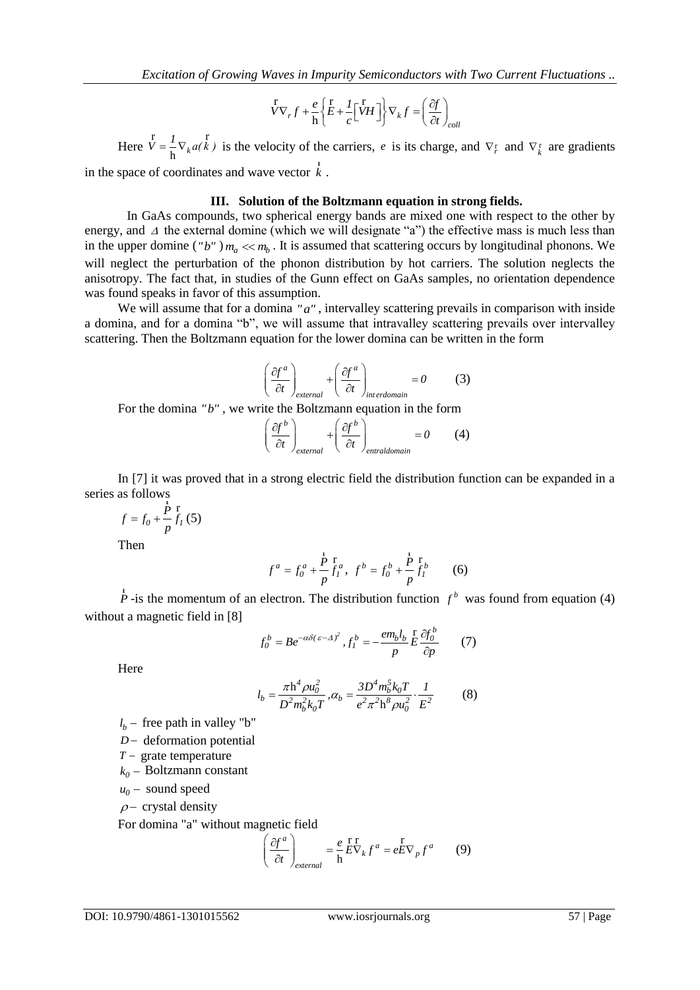$$
\stackrel{\Gamma}{V}\nabla_r f + \frac{e}{\hbar} \left\{ \stackrel{\Gamma}{E} + \frac{I}{c} \left[ \stackrel{\Gamma}{V} H \right] \right\} \nabla_k f = \left( \frac{\partial f}{\partial t} \right)_{coll}
$$

Here  $V = \frac{1}{h} \nabla_k$  $\overline{V} = \frac{1}{N} \nabla_k a(k)$  $\frac{r}{r}$   $l =$   $\frac{r}{r}$  $\frac{1}{\hbar} \nabla_k a(k)$  is the velocity of the carriers, *e* is its charge, and  $\nabla_r^r$  and  $\nabla_k^r$  are gradients in the space of coordinates and wave vector *k* r .

#### **III. Solution of the Boltzmann equation in strong fields.**

In GaAs compounds, two spherical energy bands are mixed one with respect to the other by energy, and  $\Delta$  the external domine (which we will designate "a") the effective mass is much less than in the upper domine ("b")  $m_a \ll m_b$ . It is assumed that scattering occurs by longitudinal phonons. We will neglect the perturbation of the phonon distribution by hot carriers. The solution neglects the anisotropy. The fact that, in studies of the Gunn effect on GaAs samples, no orientation dependence was found speaks in favor of this assumption.

We will assume that for a domina "a", intervalley scattering prevails in comparison with inside a domina, and for a domina "b", we will assume that intravalley scattering prevails over intervalley scattering. Then the Boltzmann equation for the lower domina can be written in the form

$$
\left(\frac{\partial f^a}{\partial t}\right)_{external} + \left(\frac{\partial f^a}{\partial t}\right)_{interdomain} = 0
$$
 (3)

For the domina "b", we write the Boltzmann equation in the form

$$
\left(\frac{\partial f^{b}}{\partial t}\right)_{external} + \left(\frac{\partial f^{b}}{\partial t}\right)_{entral domain} = 0
$$
 (4)

In [7] it was proved that in a strong electric field the distribution function can be expanded in a series as follows

$$
f = f_0 + \frac{\dot{P}}{p} \frac{\dot{\mathbf{r}}}{f_I} (5)
$$

Then

$$
f^{a} = f_{0}^{a} + \frac{\stackrel{1}{P}}{p} \stackrel{r}{f_{1}^{a}}, \ f^{b} = f_{0}^{b} + \frac{\stackrel{1}{P}}{p} \stackrel{r}{f_{1}^{b}}
$$
(6)

*P*  $\hat{f}$  -is the momentum of an electron. The distribution function  $f^b$  was found from equation (4) without a magnetic field in [8]

$$
f_0^b = Be^{-\alpha\delta(\varepsilon - A)^2}, f_1^b = -\frac{em_b l_b}{p} \frac{\Gamma}{\varepsilon} \frac{\partial f_0^b}{\partial p}
$$
 (7)

Here

$$
l_b = \frac{\pi \hbar^4 \rho u_0^2}{D^2 m_b^2 k_0 T}, \alpha_b = \frac{3D^4 m_b^5 k_0 T}{e^2 \pi^2 \hbar^8 \rho u_0^2} \cdot \frac{1}{E^2}
$$
(8)

 $l_b$  – free path in valley "b"

*D* – deformation potential

 $T -$  grate temperature

 $k_0$  – Boltzmann constant

 $u_0$  – sound speed

$$
\rho
$$
 - crystal density

For domina "a" without magnetic field<br> $\left(\partial f^a\right)$ 

$$
\left(\frac{\partial f^a}{\partial t}\right)_{external} = \frac{e}{h} \frac{\Gamma}{E V_k} f^a = e^{\Gamma} \frac{\Gamma}{E V_p} f^a \tag{9}
$$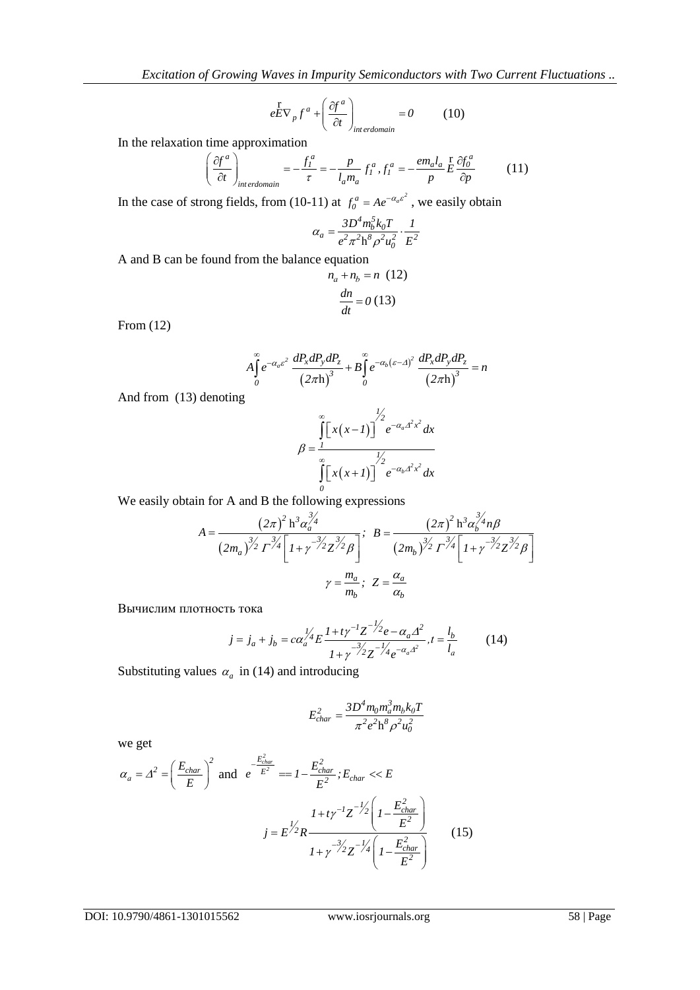$$
e^{\frac{\Gamma}{E\nabla_p}f^a + \left(\frac{\partial f^a}{\partial t}\right)_{interdomain} = 0 \tag{10}
$$

In the relaxation time approximation  
\n
$$
\left(\frac{\partial f^a}{\partial t}\right)_{interdomain} = -\frac{f_l^a}{\tau} = -\frac{p}{l_a m_a} f_l^a, f_l^a = -\frac{em_a l_a}{p} \frac{\Gamma}{\partial p} \frac{\partial f_0^a}{\partial p}
$$
\n(11)

In the case of strong fields, from (10-11) at  $f_0^a = Ae^{-\alpha_a \varepsilon^2}$ , we easily obtain

$$
\alpha_a = \frac{3D^4m_b^5k_0T}{e^2\pi^2h^8\rho^2u_0^2}\cdot\frac{1}{E^2}
$$

A and B can be found from the balance equation

$$
n_a + n_b = n \quad (12)
$$

$$
\frac{dn}{dt} = 0 \quad (13)
$$

From (12)

$$
A\int_{0}^{\infty} e^{-\alpha_{a}\varepsilon^{2}} \frac{dP_{x}dP_{y}dP_{z}}{(2\pi\hbar)^{3}} + B\int_{0}^{\infty} e^{-\alpha_{b}(\varepsilon-\Delta)^{2}} \frac{dP_{x}dP_{y}dP_{z}}{(2\pi\hbar)^{3}} = n
$$

And from (13) denoting

$$
\beta = \frac{\int_{1}^{\infty} [x(x-1)]^{1/2} e^{-\alpha_a x^2 x^2} dx}{\int_{0}^{\infty} [x(x+1)]^{1/2} e^{-\alpha_b x^2 x^2} dx}
$$

We easily obtain for A and B the following expressions

$$
A = \frac{(2\pi)^2 h^3 \alpha_a^{\frac{3}{2}}}{(2m_a)^{\frac{3}{2}} \Gamma^{\frac{3}{2}} \Gamma^{\frac{3}{2}} \Gamma^{\frac{3}{2}} \Gamma^{\frac{3}{2}} \Gamma^{\frac{3}{2}} \Gamma^{\frac{3}{2}} \Gamma^{\frac{3}{2}} \Gamma^{\frac{3}{2}} \Gamma^{\frac{3}{2}} \Gamma^{\frac{3}{2}} \Gamma^{\frac{3}{2}} \Gamma^{\frac{3}{2}} \Gamma^{\frac{3}{2}} \Gamma^{\frac{3}{2}} \Gamma^{\frac{3}{2}} \Gamma^{\frac{3}{2}} \Gamma^{\frac{3}{2}} \Gamma^{\frac{3}{2}} \Gamma^{\frac{3}{2}} \Gamma^{\frac{3}{2}} \Gamma^{\frac{3}{2}} \Gamma^{\frac{3}{2}} \Gamma^{\frac{3}{2}} \Gamma^{\frac{3}{2}} \Gamma^{\frac{3}{2}} \Gamma^{\frac{3}{2}} \Gamma^{\frac{3}{2}} \Gamma^{\frac{3}{2}} \Gamma^{\frac{3}{2}} \Gamma^{\frac{3}{2}} \Gamma^{\frac{3}{2}} \Gamma^{\frac{3}{2}} \Gamma^{\frac{3}{2}} \Gamma^{\frac{3}{2}} \Gamma^{\frac{3}{2}} \Gamma^{\frac{3}{2}} \Gamma^{\frac{3}{2}} \Gamma^{\frac{3}{2}} \Gamma^{\frac{3}{2}} \Gamma^{\frac{3}{2}} \Gamma^{\frac{3}{2}} \Gamma^{\frac{3}{2}} \Gamma^{\frac{3}{2}} \Gamma^{\frac{3}{2}} \Gamma^{\frac{3}{2}} \Gamma^{\frac{3}{2}} \Gamma^{\frac{3}{2}} \Gamma^{\frac{3}{2}} \Gamma^{\frac{3}{2}} \Gamma^{\frac{3}{2}} \Gamma^{\frac{3}{2}} \Gamma^{\frac{3}{2}} \Gamma^{\frac{3}{2}} \Gamma^{\frac{3}{2}} \Gamma^{\frac{3}{2}} \Gamma^{\frac{3}{2}} \Gamma^{\frac{3}{2}} \Gamma^{\frac{3}{2}} \Gamma^{\frac{3}{2}} \Gamma^{\frac{3}{2}} \Gamma^{\frac{3}{2}} \Gamma^{\frac{3}{2}} \Gamma^{\frac{3}{2}} \Gamma^{\frac{3}{2}} \Gamma^{\frac{3}{2}} \Gamma^{\frac{3}{2}} \Gamma^{\frac{3}{2}} \Gamma^{\frac{3}{2}} \Gamma^{\frac{3}{2}} \Gamma^{\frac{3}{2}} \Gamma^{\frac{3}{2}} \Gamma^{\frac{3}{2}} \Gamma
$$

Вычислим плотность тока

$$
j = j_a + j_b = c\alpha_a^{1/4} E \frac{1 + t\gamma^{-1} Z^{-1/2} e^{-\alpha_a \Delta^2}}{1 + \gamma^{-3/2} Z^{-1/4} e^{-\alpha_a \Delta^2}}, t = \frac{l_b}{l_a}
$$
(14)

Substituting values  $\alpha_a$  in (14) and introducing

$$
E_{char}^2 = \frac{3D^4 m_0 m_a^3 m_b k_0 T}{\pi^2 e^2 h^8 \rho^2 u_0^2}
$$

we get

$$
e^{\frac{1}{6}\nabla}\nabla_{\mu}f^{\mu} + \left(\frac{\partial f^{\mu}}{\partial t}\right)_{\text{interatomic}} = 0
$$
 (10)  
\nIn the relaxation time approximation  
\n
$$
\left(\frac{\partial f^{\mu}}{\partial t}\right)_{\text{inter-dimensional}} = -\frac{f^{\mu}}{t} = -\frac{p}{l_{\text{at}}m_{\text{at}}}f^{\mu}, f^{\mu} = -\frac{em_{\text{at}}l_{\text{at}}}{p}\frac{\partial f^{\mu}}{\partial p}
$$
 (11)  
\nIn the case of strong fields, from (10-11) at  $f^{\mu}_{\mu} = Ae^{-\alpha_{\mu}e^{2}}$ , we easily obtain  
\n
$$
\alpha_{\alpha} = \frac{3Dr_{\text{at}}k_{\text{at}}k_{\text{at}}}{e^{2r_{\text{at}}k_{\text{at}}k_{\text{at}}^2}}\frac{1}{t^{2}}
$$
\nA and B can be found from the balance equation  
\n $n_{\text{at}} + n_{\text{in}} = n$  (12)  
\n
$$
A_{\text{at}}^{T}e^{-\alpha_{\text{at}}e^{2r_{\text{at}}t_{\text{at}}} \frac{dP_{\text{at}}dP_{\text{at}}dP_{\text{at}}}{(2\pi h)^{2}} + B_{\text{at}}^{T}e^{-\alpha_{\text{at}}(e-\alpha) \frac{1}{2}}\frac{dP_{\text{at}}dP_{\text{at}}dP_{\text{at}}}{(2\pi h)^{2}} = n
$$
\nAnd from (13) denoting  
\n
$$
\beta = \frac{\int_{0}^{2\pi} [x(x-1)]^{2} e^{-\alpha_{\text{at}}(x-\alpha) \frac{1}{2}} \frac{dP_{\text{at}}dP_{\text{at}}dP_{\text{at}}}{(2\pi h)^{2}} = n
$$
\n
$$
A = \frac{(2\pi)^{2}h^{2}\alpha_{\text{at}}^{2}}{\int_{0}^{2\pi} [x(x+1)]^{2}} e^{-\alpha_{\text{at}}(x^{2} \frac{1}{2})} dx
$$
\nWe easily obtain for A and B the following expressions  
\n
$$
A = \frac{(2\pi)^{2}h^{3}\alpha_{\text{at}}^{2}}{\left(2\pi\left(1 + \frac{1}{2}\right)^
$$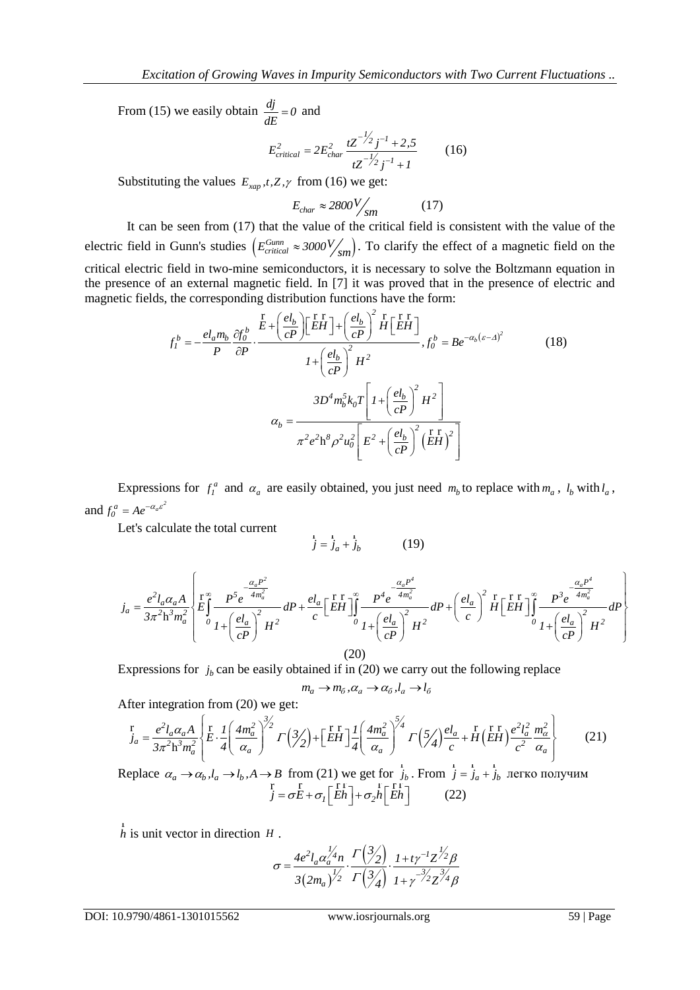From (15) we easily obtain  $\frac{dj}{d\theta} = 0$ *dE*  $= 0$  and

$$
E_{critical}^2 = 2E_{char}^2 \frac{tZ^{-\frac{1}{2}}j^{-1} + 2.5}{tZ^{-\frac{1}{2}}j^{-1} + 1}
$$
 (16)

Substituting the values  $E_{\text{xap}}$ ,*t*,*Z*, $\gamma$  from (16) we get:

$$
E_{char} \approx 2800 \frac{V}{sm} \tag{17}
$$

It can be seen from (17) that the value of the critical field is consistent with the value of the electric field in Gunn's studies  $(E_{critical}^{Gunn} \approx 3000 V_{sm})$ . To clarify the effect of a magnetic field on the critical electric field in two-mine semiconductors, it is necessary to solve the Boltzmann equation in the presence of an external magnetic field. In [7] it was proved that in the presence of electric and

the presence of an external magnetic field. In [7] it was proved that in the presence of ele-  
magnetic fields, the corresponding distribution functions have the form:  
\n
$$
f_l^b = -\frac{el_a m_b}{P} \frac{\partial f_0^b}{\partial P} \cdot \frac{E + \left(\frac{el_b}{cP}\right) \left[EH\right] + \left(\frac{el_b}{cP}\right)^2 H \left[EH\right]}{I + \left(\frac{el_b}{cP}\right)^2 H^2}, f_0^b = Be^{-\alpha_b (c-A)^2}
$$
\n
$$
B = \frac{3D^4 m_b^5 k_0 T \left[I + \left(\frac{el_b}{cP}\right)^2 H^2\right]}{\pi^2 e^2 h^8 \rho^2 u_0^2 \left[E^2 + \left(\frac{el_b}{cP}\right)^2 \left(EH\right)^2\right]}
$$
\n(18)

Expressions for  $f_i^a$  and  $\alpha_a$  are easily obtained, you just need  $m_b$  to replace with  $m_a$ ,  $l_b$  with  $l_a$ , and  $f_0^a = Ae^{-\alpha_a \varepsilon^2}$ 

Let's calculate the total current

$$
\dot{j} = \dot{j}_a + \dot{j}_b \tag{19}
$$

Let's calculate the total current  
\n
$$
j = j_a + j_b
$$
\n(19)  
\n
$$
j_a = \frac{e^2 l_a \alpha_a A}{3\pi^2 h^3 m_a^2} \left\{ E \int_0^{\infty} \frac{P^5 e^{-\frac{(\alpha_a P^2)}{4m_a^2}}}{P + \left(\frac{el_a}{cP}\right)^2 H^2} dP + \frac{el_a}{c} \left[ E H \right]_0^{\infty} \frac{P^4 e^{-\frac{(\alpha_a P^4)}{4m_a^2}}}{P + \left(\frac{el_a}{cP}\right)^2 H^2} dP + \left(\frac{el_a}{c}\right)^2 H \left[ E H \right]_0^{\infty} \frac{P^3 e^{-\frac{(\alpha_a P^4)}{4m_a^2}}}{P + \left(\frac{el_a}{cP}\right)^2 H^2} dP \right\}
$$
\n(20)

Expressions for  $j_b$  can be easily obtained if in (20) we carry out the following replace

$$
m_a \to m_{\tilde{o}}, \alpha_a \to \alpha_{\tilde{o}}, l_a \to l_{\tilde{o}}
$$

After integration from (20) we get:

$$
m_a \rightarrow m_{\tilde{\sigma}}, \alpha_a \rightarrow \alpha_{\tilde{\sigma}}, l_a \rightarrow l_{\tilde{\sigma}}
$$
  
After integration from (20) we get:  

$$
\int_{a}^{r} = \frac{e^2 l_a \alpha_a A}{3\pi^2 h^3 m_a^2} \left[ E \cdot \frac{1}{4} \left( \frac{4m_a^2}{\alpha_a} \right)^{\frac{3}{2}} \Gamma \left( \frac{3}{2} \right) + \left[ \frac{r}{EH} \right] \frac{1}{4} \left( \frac{4m_a^2}{\alpha_a} \right)^{\frac{5}{4}} \Gamma \left( \frac{5}{4} \right) \frac{el_a}{c} + H \left( \frac{r}{EH} \right) \frac{e^2 l_a^2}{c^2} \frac{m_a^2}{\alpha_a} \right]
$$
  
Replace  $\alpha_a \rightarrow \alpha_b, l_a \rightarrow l_b, A \rightarrow B$  from (21) we get for  $\dot{J}_b$ . From  $\dot{J} = \dot{J}_a + \dot{J}_b$  nerve nonyuh

 $j_b$ . From  $j = j_a + j_b$  легко получим *1 F*  $\int$  *F* from (21) we get for  $J_b$ . From  $J = \int_a^r \frac{1}{f} \int_a^r f^T = \int_a^r f^T = \int_a^r f^T = \int_a^r f^T = \int_a^r f^T = \int_a^r f^T = \int_a^r f^T = \int_a^r f^T = \int_a^r f^T = \int_a^r f^T = \int_a^r f^T = \int_a^r f^T = \int_a^r f^T = \int_a^r f^T = \int_a^r f^T = \int_a^r f^T = \int_a^r f^T = \int_a^$ 

*h* r is unit vector in direction *H* .

$$
\sigma = \frac{4e^2 l_a \alpha_a^{1/4} n}{3(2m_a)^{1/2}} \cdot \frac{\Gamma(\frac{3}{2})}{\Gamma(\frac{3}{4})} \cdot \frac{1 + t \gamma^{-1} Z^{1/2} \beta}{1 + \gamma^{-3/2} Z^{3/4} \beta}
$$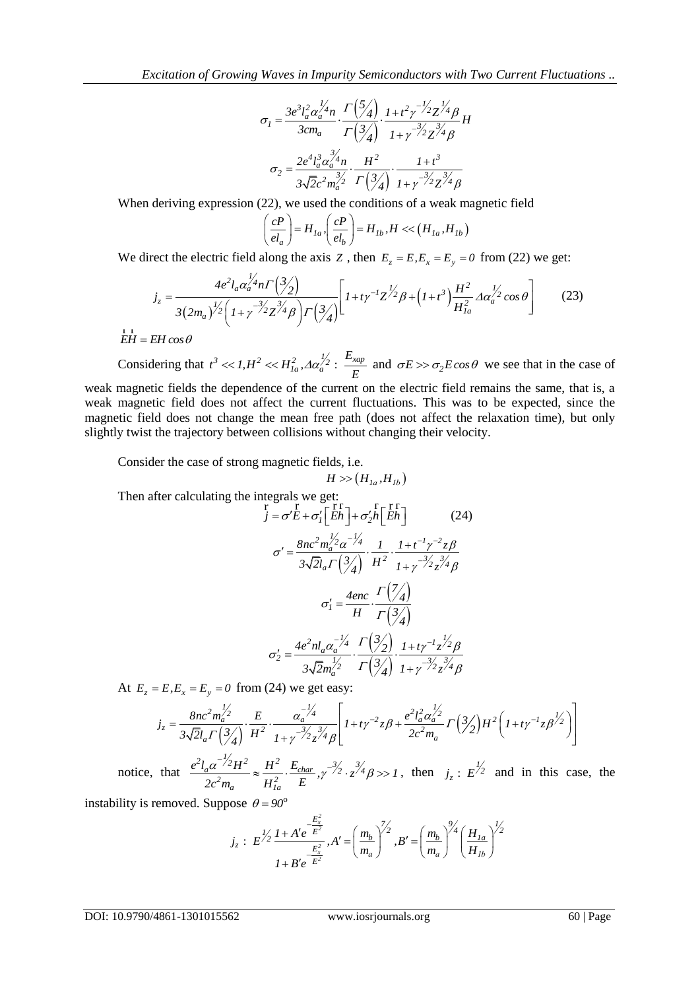$$
\sigma_{I} = \frac{3e^{3}l_{a}^{2}\alpha_{a}^{1/4}n}{3cm_{a}} \cdot \frac{\Gamma\left(\frac{5}{4}\right)}{\Gamma\left(\frac{3}{4}\right)} \cdot \frac{1+t^{2}\gamma^{-1/2}Z^{1/4}\beta}{1+\gamma^{-3/2}Z^{3/4}\beta}H
$$

$$
\sigma_{2} = \frac{2e^{4}l_{a}^{3}\alpha_{a}^{3/4}n}{3\sqrt{2}c^{2}m_{a}^{3/2}} \cdot \frac{H^{2}}{\Gamma\left(\frac{3}{4}\right)} \cdot \frac{1+t^{3}}{1+\gamma^{-3/2}Z^{3/4}\beta}
$$

When deriving expression (22), we used the conditions of a weak magnetic field\n
$$
\left(\frac{cP}{el_a}\right) = H_{1a}, \left(\frac{cP}{el_b}\right) = H_{1b}, H \ll (H_{1a}, H_{1b})
$$

We direct the electric field along the axis Z, then 
$$
E_z = E, E_x = E_y = 0
$$
 from (22) we get:  
\n
$$
j_z = \frac{4e^2 l_a \alpha_a^{1/4} n \Gamma(\frac{3}{2})}{3(2m_a)^{1/2} \left(1 + \gamma^{-3/2} Z^{\frac{3}{4}} \beta\right) \Gamma(\frac{3}{4})} \left[1 + t \gamma^{-1} Z^{\frac{1}{2}} \beta + \left(1 + t^3\right) \frac{H^2}{H_{1a}^2} \Delta \alpha_a^{\frac{1}{2}} \cos \theta\right]
$$
(23)

 $EH = EH \cos \theta$ r r

Considering that  $t^3 \ll 1$ ,  $H^2 \ll H_{1a}^2$ ,  $\Delta \alpha_a^{1/2}$ :  $\frac{E_{xap}}{E}$  and  $\sigma E \gg \sigma_2 E \cos \theta$  we see that in the case of

weak magnetic fields the dependence of the current on the electric field remains the same, that is, a weak magnetic field does not affect the current fluctuations. This was to be expected, since the magnetic field does not change the mean free path (does not affect the relaxation time), but only slightly twist the trajectory between collisions without changing their velocity.

Consider the case of strong magnetic fields, i.e.

$$
H>\!\!> \left(H_{1a}, H_{1b}\right)
$$

Then after calculating the integrals we get:<br> $\frac{r}{r} = r \sqrt{r} \frac{r}{r} = r \sqrt{r} \frac{r}{r}$ 

$$
\sigma_{i} = \frac{3e^{i\frac{1}{2}}\alpha_{m_{m}}^{2} + \left(\frac{1}{2}A\right)^{2} + i\frac{1}{2} + i\frac{1}{2}A^{2}/4} + i\frac{1}{2}A^{2}/4}
$$
\n
$$
\sigma_{2} = \frac{2e^{i\frac{1}{2}}\alpha_{2}^{2}A_{m}}{3\sqrt{2}e^{2m_{m}^{2}}} - \frac{1+i^{2}}{(\frac{1}{2}A)^{2}} - \frac{1+i^{2}}{1+i\frac{1}{2}x^{2}/4}\rho
$$
\nWhen deriving expression (22), we used the conditions of a weak magnetic field\n
$$
\left(\frac{eP}{\alpha_{n}}\right) = H_{1n} \cdot \left(\frac{eP}{\alpha_{n}}\right) = H_{1n} \cdot H \ll (H_{1n} \cdot H_{1n})
$$
\nWe direct the electric field along the axis  $Z$ , then  $E_{z} = E, E_{z} = E_{z} = 0$  from (22) we get:\n
$$
J_{z} = \frac{4e^{2}I_{0}\alpha_{2}^{2/4}n\left(\frac{1}{2}A\right)}{3(2m_{0})^{2/2}\left(1 + \frac{1}{2}x^{2}/2A\right)\left(\frac{1}{2}\right)}\left[1 + \frac{1}{2}t^{2/2}A + \left(1 + t^{2}\right)\frac{H^{2}}{H^{2}_{in}}\Delta\alpha_{2}^{1/2} \cos\theta\right] \qquad (23)
$$
\n
$$
H_{z} = H_{z} \cos\theta
$$
\nConsidering that  $t^{2} \ll 1, H^{2} \ll H_{1n}^{2} \cdot A_{z}^{2}/2$   $\left[1 + \frac{1}{2}t^{2/2}A + \left(1 + t^{2}\right)\frac{H^{2}}{H^{2}_{in}}\Delta\alpha_{2}^{1/2} \cos\theta\right] \qquad (23)$ \n
$$
H_{z} = H_{z} \cos\theta
$$
\nConsider the electric field and  $\frac{1}{2}H_{z} \approx 0$   $\frac{1}{2}H_{z} \approx H_{z} \cdot 2H_{z}^{2} \ll H_{z}^{2} \cdot A_{z} \cdot 2H_{z}^{2} \sim H_{z}^{2}/2$ \n
$$
I_{
$$

$$
3\sqrt{2m_a'^2} - 1\left(\frac{y}{4}\right) + \gamma^{2}2z^{4}\beta
$$
  
At  $E_z = E, E_x = E_y = 0$  from (24) we get easy:  

$$
j_z = \frac{8nc^2m_a'^2}{3\sqrt{2}l_a\Gamma\left(\frac{3}{4}\right)} \cdot \frac{E}{H^2} \cdot \frac{\alpha_a^{-1/4}}{1 + \gamma^{3/2}z^{3/4}\beta} \left[1 + t\gamma^{-2}z\beta + \frac{e^2l_a^2\alpha_a'^2}{2c^2m_a}\Gamma\left(\frac{3}{2}\right)H^2\left(1 + t\gamma^{-1}z\beta^{1/2}\right)\right]
$$

notice, that  $^{2}l_{a}\alpha^{-1/2}H^{2} \approx H^{2}$ .  $\frac{E_{char}}{\sqrt{2}}\gamma^{-3/2}\cdot\frac{3}{2}$  $\frac{H^2}{2m_a} \approx \frac{H}{H_{1a}^2}$  $e^{2}l_{a}\alpha^{-1/2}H^{2} \approx \frac{H^{2}}{H^{2}} \cdot \frac{E_{char}}{E}$ ,  $\gamma^{-3/2} \cdot z^{3/4}\beta >> I$  $\frac{a^{a}}{2c^{2}m_{a}} \approx \frac{H^{2}}{H_{1a}^{2}} \cdot \frac{E_{ch}}{E}$  $\frac{-\frac{1}{2}}{2m} \approx \frac{H^2}{H^2} \cdot \frac{E_{char}}{E}$ ,  $\gamma^{-\frac{3}{2}} \cdot z^{\frac{3}{4}} \beta >> 1$  $\approx \frac{H^2}{H^2} \cdot \frac{E_{char}}{E}$ ,  $\gamma^{-3/2} \cdot z^{3/4} \beta >> 1$ , then  $j_z : E^{1/2}$  and in this case, the

instability is removed. Suppose  $\theta = 90^\circ$ 

$$
j_z : E^{\frac{1}{2}} \frac{1 + A'e^{\frac{-E_x^2}{E^2}}}{1 + B'e^{\frac{-E_x^2}{E^2}}}, A' = \left(\frac{m_b}{m_a}\right)^{\frac{7}{2}}, B' = \left(\frac{m_b}{m_a}\right)^{\frac{9}{2}} \left(\frac{H_{1a}}{H_{1b}}\right)^{\frac{1}{2}}
$$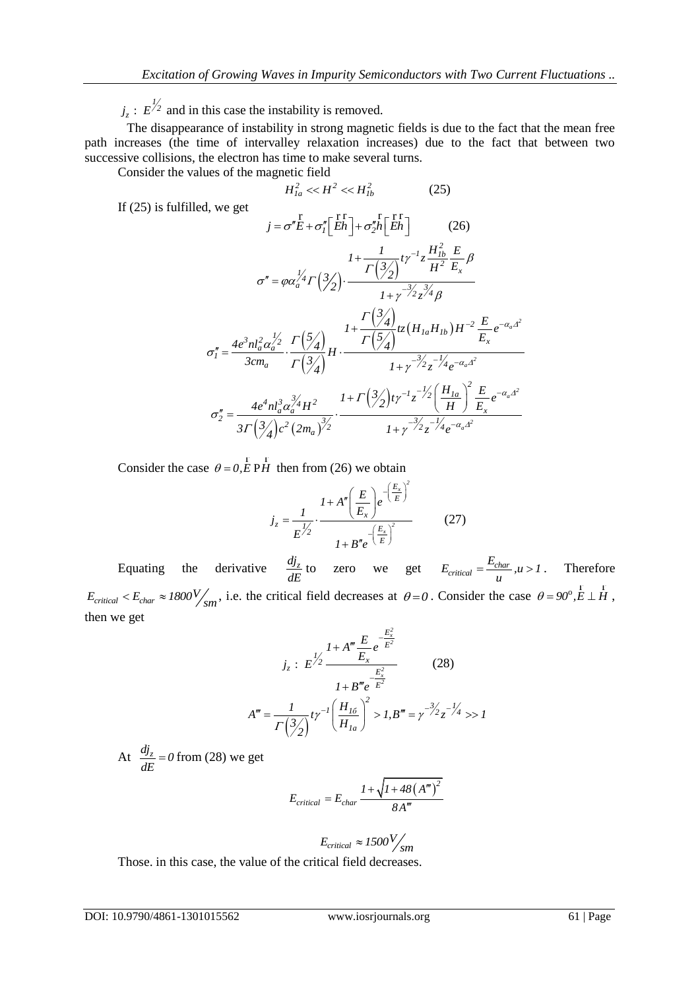$j_z$ :  $E^{2}$  and in this case the instability is removed.

The disappearance of instability in strong magnetic fields is due to the fact that the mean free path increases (the time of intervalley relaxation increases) due to the fact that between two successive collisions, the electron has time to make several turns.

Consider the values of the magnetic field

$$
H_{1a}^2 \ll H^2 \ll H_{1b}^2 \tag{25}
$$

If (25) is fulfilled, we get

*j<sub>x</sub>* : *E*<sup>1/2</sup> and in this case the instability is removed.  
\nThat the disappearance of instability in strong magnetic fields is due to the fact that the mean from  
\npart increases (the time of intervalley relaxation increases) due to the fact that between two  
\nsuccessive collisions, the electron has time to make several turns.  
\nConsider the values of the magnetic field  
\n
$$
\vec{H}_{in}^{2} \leq \epsilon H_{in}^{2}
$$
\n
$$
\vec{H}_{in}^{2} \leq H_{in}^{2}
$$
\n
$$
\vec{H}_{in}^{2} \leq H_{in}^{2}
$$
\n
$$
\vec{H}_{in}^{2} \leq H_{in}^{2}
$$
\n
$$
\vec{H}_{in}^{2} \leq H_{in}^{2}
$$
\n
$$
\vec{H}_{in}^{2} \leq H_{in}^{2}
$$
\n
$$
\vec{H}_{in}^{2} \leq H_{in}^{2}
$$
\n
$$
\vec{H}_{in}^{2} \leq H_{in}^{2}
$$
\n
$$
\vec{H}_{in}^{2} \leq H_{in}^{2}
$$
\n
$$
\vec{H}_{in}^{2} \leq H_{in}^{2}
$$
\n
$$
\vec{H}_{in}^{2} \leq H_{in}^{2}
$$
\n
$$
\vec{H}_{in}^{2} \leq H_{in}^{2}
$$
\n
$$
\vec{H}_{in}^{2} \leq H_{in}^{2}
$$
\n
$$
\vec{H}_{in}^{2} \leq H_{in}^{2}
$$
\n
$$
\vec{H}_{in}^{2} \leq H_{in}^{2}
$$
\n
$$
\vec{H}_{in}^{2} \leq H_{in}^{2}
$$
\n
$$
\vec{H}_{in}^{2} \leq H_{in}^{2}
$$
\n
$$
\vec{H}_{in}^{2} \leq H_{in}^{2}
$$
\nConsider the case *θ* = 0, *k*: *p*th then from (26) we obtain  
\n
$$
J_{i} = \frac{1}{E_{i}} \frac{1 + A^{(i)} \left(\frac{E}{E_{i}}\right) e^{-\frac{E_{i}}{E_{i}}}
$$
\n
$$
I_{i} = \frac{1 - B_{i} \left(\frac{E_{i}}{E_{i}}\right)^{2}}{1 + B^{(i)} \left(\
$$

Consider the case  $\theta = 0$ , E PH  $\frac{1}{2}$ PH then from  $(26)$  we obtain

$$
j_z = \frac{1}{E^{\frac{1}{2}}} \cdot \frac{1 + A'' \left(\frac{E}{E_x}\right) e^{-\left(\frac{E_x}{E}\right)^2}}{1 + B'' e^{-\left(\frac{E_x}{E}\right)^2}}
$$
(27)

Equating the derivative  $\frac{dj_z}{dx}$ *dE* to zero we get  $E_{critical} = \frac{E_{char}}{E_{initial}}$  $E_{critical} = \frac{E_{char}}{u}, u > 1$ . Therefore  $E_{critical} < E_{char} \approx 1800 \frac{V}{sm}$ , i.e. the critical field decreases at  $\theta = 0$ . Consider the case  $\theta = 90^\circ, E \perp \mathcal{H}$ , then we get

$$
j_z : E^{\frac{1}{2}} \frac{1 + A^m \frac{E}{E_x} e^{-\frac{E_x^2}{E^2}}}{1 + B^m e^{-\frac{E_x^2}{E^2}}} \qquad (28)
$$

$$
A^m = \frac{1}{\Gamma(\frac{3}{2})} t \gamma^{-1} \left(\frac{H_{16}}{H_{1a}}\right)^2 > 1, B^m = \gamma^{-\frac{3}{2}} z^{-\frac{1}{2}} \gg 1
$$

At 
$$
\frac{dj_z}{dE} = 0
$$
 from (28) we get

$$
E_{critical} = E_{char} \frac{I + \sqrt{I + 48 (A^m)^2}}{8A^m}
$$

$$
E_{critical} \approx 1500 V_{sm}
$$

Those. in this case, the value of the critical field decreases.